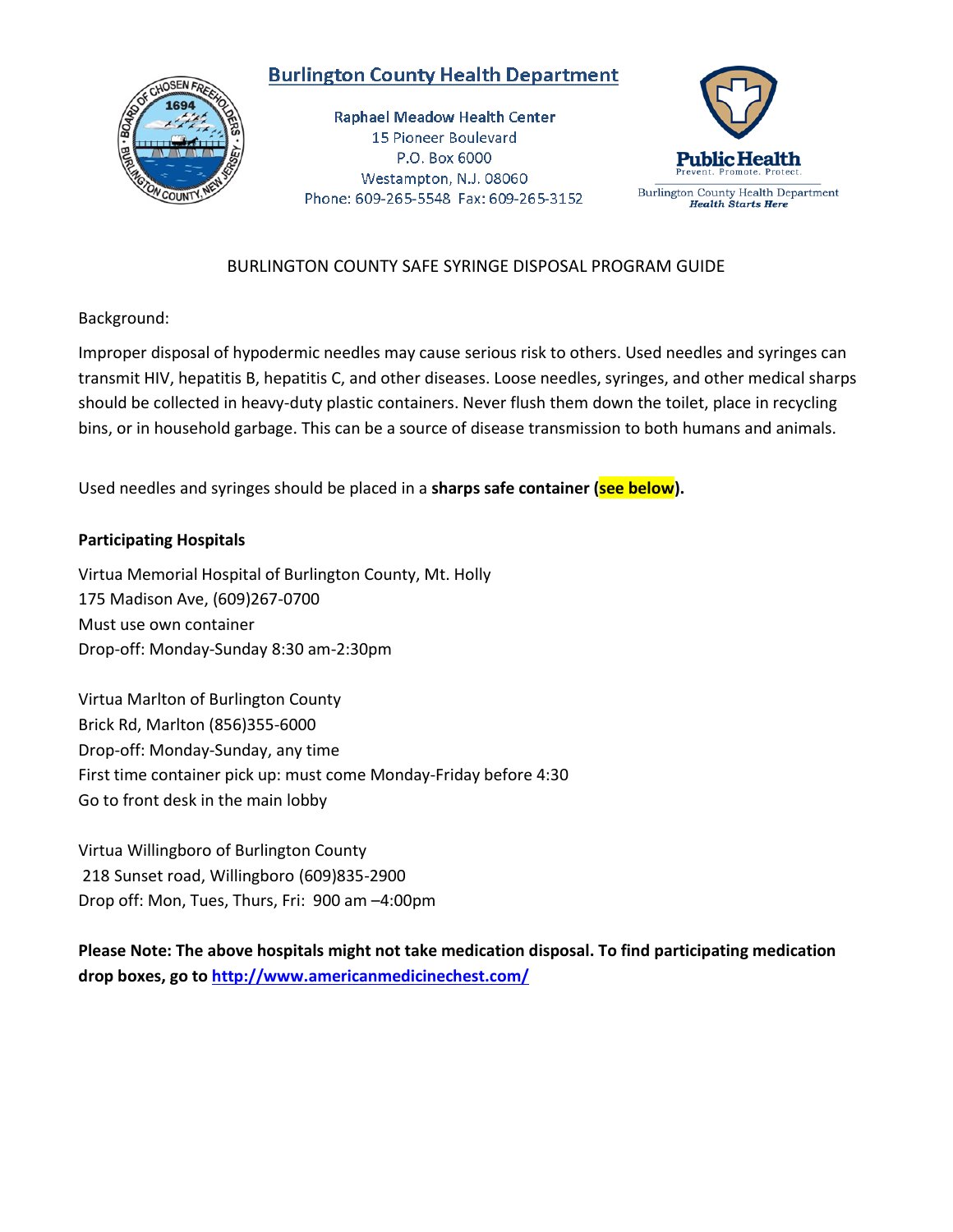## **Burlington County Health Department**



**Raphael Meadow Health Center** 15 Pioneer Boulevard P.O. Box 6000 Westampton, N.J. 08060 Phone: 609-265-5548 Fax: 609-265-3152



## BURLINGTON COUNTY SAFE SYRINGE DISPOSAL PROGRAM GUIDE

Background:

Improper disposal of hypodermic needles may cause serious risk to others. Used needles and syringes can transmit HIV, hepatitis B, hepatitis C, and other diseases. Loose needles, syringes, and other medical sharps should be collected in heavy-duty plastic containers. Never flush them down the toilet, place in recycling bins, or in household garbage. This can be a source of disease transmission to both humans and animals.

Used needles and syringes should be placed in a **sharps safe container (see below).**

## **Participating Hospitals**

Virtua Memorial Hospital of Burlington County, Mt. Holly 175 Madison Ave, (609)267-0700 Must use own container Drop-off: Monday-Sunday 8:30 am-2:30pm

Virtua Marlton of Burlington County Brick Rd, Marlton (856)355-6000 Drop-off: Monday-Sunday, any time First time container pick up: must come Monday-Friday before 4:30 Go to front desk in the main lobby

Virtua Willingboro of Burlington County 218 Sunset road, Willingboro (609)835-2900 Drop off: Mon, Tues, Thurs, Fri: 900 am –4:00pm

**Please Note: The above hospitals might not take medication disposal. To find participating medication drop boxes, go to<http://www.americanmedicinechest.com/>**